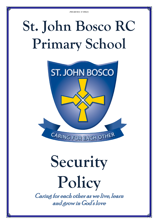# **St. John Bosco RC Primary School**



# **Security Policy**

Caring for each other as we live, learn and grow in God's love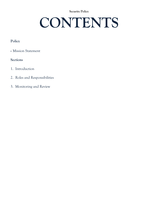# **CONTENTS**

# **Policy**

Mission Statement

## **Sections**

- 1. Introduction
- 2. Roles and Responsibilities
- 3. Monitoring and Review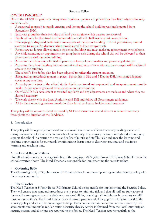#### **COVID19 PANDEMIC**

Due to the COVID19 pandemic many of our routines, systems and procedures have been adjusted to keep everyone safe.

- A staggered approach to pupils entering and leaving the school building was implemented from September 2020.
- Each year group has their own drop off and pick up time which parents are aware of.
- Pupils will only be dismissed to a known adult staff will challenge any unknown person.
- New signage is displayed both inside and outside of the school building to direct pedestrians, remind everyone to keep a 2m distance where possible and to keep everyone safe.
- Parents are no longer allowed inside the school building and must make an appointment by telephone.
- Any child attending an appointment or going home sick during the school day will be delivered to their parents outside of the main building.
- Access to the school site is limited to parents, delivery of consumables and pre-arranged visitors.
- Access to the school building is closely monitored and only visitors who are pre-arranged will be allowed access to the building.
- The school's Fire Safety plan has been adjusted to reflect the current situation.
- Safeguarding procedures remain in place. School has 1 DSL and 3 Deputy DSL's ensuring adequate cover at any one time.
- Access by contractors to the school site is closely monitored and supervised and an appointment must be made. A face covering should be worn when on the school site.
- Our COVID Risk Assessment is revisited regularly and any adjustments are made as and when they are deemed necessary.
- We work closely with the Local Authority and DfE and follow all Government guidelines.
- All incident reporting systems remain in place for all accidents, incidents and concerns.

This policy will be monitored and reviewed by SLT and Governors as and when it is deemed necessary throughout the duration of the Pandemic.

#### **1. Introduction**

This policy will be regularly monitored and evaluated to ensure its effectiveness in providing a safe and caring environment for everyone in our school community. The security measures introduced will not only support the school in ensuring the care and safety of pupils and staff but also enhance the learning and teaching opportunities for our pupils by minimising disruptions to classroom routines and maximise learning and teaching time.

#### **2. Roles and Responsibilities**

Overall school security is the responsibility of the employer. At St John Bosco RC Primary School, this is the school governing body. The Head Teacher is responsible for implementing the security policy.

## **Governing Body**

The Governing Body of St John Bosco RC Primary School has drawn up and agreed the Security Policy with the school community.

## **Head Teacher**

The Head Teacher at St John Bosco RC Primary School is responsible for implementing the Security Policy. They will ensure that standard procedures are in place to minimise risk and that all staff are fully aware of the security arrangements and of their own responsibilities, receiving such training as is necessary to fulfil those responsibilities. The Head Teacher should ensure parents and older pupils are fully informed of the security policy and should be encouraged to help. The school undertake an annual review of security risk assessments and undertake regular routine security checks. Advice is obtained from the Local Authority on security matters and all crimes are reported to the Police. The Head Teacher reports regularly to the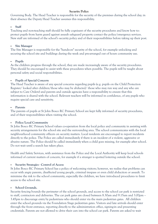Governing Body. The Head Teacher is responsible for the security of the premises during the school day; in their absence the Deputy Head Teacher assumes this responsibility.

#### **Staff**

Teaching and non-teaching staff should be fully cognisant of the security procedures and know how to: protect pupils from harm guard against assault safeguard property contact the police/emergency services. New staff are informed of the school's security policy and of their responsibilities before taking up their post.

#### **Site Manager**

The Site Manager is responsible for the "hands-on" security of the school, for example unlocking and securing the school site and buildings during the week and pre-arranged out of hours community use.

#### **Pupils**

As the children progress through the school, they are made increasingly aware of the security procedures. They should be encouraged to assist with these procedures when possible. The pupils will be taught about personal safety and social responsibilities.

#### **Pupils of Special Concern**

The Head Teacher is aware of any special concerns regarding pupils (e.g. pupils on the Child Protection Register/ looked after children/those who may be abducted/ those who may run way and any who are subject to Care Orders) and parents and outside agencies have a responsibility to ensure that this information is shared with the school. Relevant teachers will be informed in confidence, of any pupils who require special care and sensitivity.

#### **Parents**

The parents of pupils at St John Bosco RC Primary School are kept fully informed of security procedures, and of their responsibilities when visiting the school.

#### **Police/Local Community**

St John Bosco RC Primary School values co-operation from the local police and community in assisting with security arrangements for the school site and the surrounding area. The school communicates with the local neighbourhood community officers on security matters. Local residents are encouraged to report incidents directly to the police. The Police are called immediately if there is an incident of a violent, aggressive or abusive nature. The Police should be called immediately when a child goes missing, for example after school. Do not wait until a search has taken place.

Health and Safety Services, with assistance from the Police and the Local Authority will keep local schools informed of current matters of concern, for example if a stranger is spotted loitering outside the school.

#### **Security Strategies - Control of Access**

St John Bosco RC Primary School has a policy of welcoming visitors; however, we realise that problems can occur with angry parents, disaffected young people, criminal trespass or even child abduction or assault. To minimise the risk to the school community, especially the children, we have introduced procedures to limit access to the school site.

#### **School Grounds.**

Security fencing bounds the perimeter of the school grounds, and access to the school car park is restricted to staff, contractors and deliveries. The car park gates are closed between 8.30am and 9.15am and 3.00pm – 3.45pm to discourage entry by pedestrians who should enter via the main pedestrian gates. All children enter the school grounds via the Foundation Stage pedestrian gates. Visitors and late arrivals should enter through the front entrance, reporting directly to the administration office, signing-in and presenting credentials. Parents are not allowed to drive their cars into the school car park. Parents are asked to wait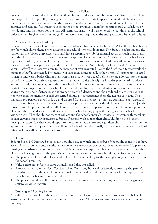outside in the playground when collecting their children and should not be encouraged to enter the school buildings before 3.15pm. If parents/guardians want to meet with staff, appointments should be made with the administration office. When attending appointments, parents/guardians should enter through the main entrance and sign-in. If a stranger is seen on the school grounds, a member of staff should establish his or her identity and the reason for the visit. All legitimate visitors will have entered the building via the school office and will be given a visitors badge. If the reason is not legitimate, the stranger should be asked to leave.

#### **Access to the School Building(s)**

Access to the main school entrance is via doors controlled from inside the building. All staff members have a key fob which allows them external access to the school. Internal doors into Key Stage 1 cloakroom and the school hall are fobbed entry access and staff have a separate key fob for internal access through these areas. Staff should ensure that all external doors are always closed when not in use. All visitors to the school should report to the office, which is clearly signed. In the first instance, a member of admin staff will meet visitors; they will be asked to sign in and give the reason for their visit. Visitor badges will be issued. A member of admin staff will then escort visitors to the member of staff requested – or to the Staff room to wait while the member of staff is contacted. The member of staff then comes to collect the visitor. All visitors are expected to sign-in and wear a badge (Either their own or a school visitor badge) before they are allowed into the main part of the school. No visitor is given unrestricted access to the school; this includes parents. All children and staff are alert to unrecognised adults in school. Children should report strangers to the nearest member of staff. If a stranger is noticed in school, staff should establish his or her identity and reason for the visit. If, at any time, an unsatisfactory reason is given, or proof of identity cannot be produced or a visitor badge is not worn then the member of staff concerned should ask for assistance from the nearest colleague. The unauthorised person is asked to leave and escorted from the premises, as they are committing a trespass. If that person refuses, becomes aggressive or damages property, no attempt should be made by staff to eject the intruder and the police should be called immediately. Parents have permission to enter the school premises. However, they should act as any other visitor to the school, complying with the appropriate school arrangements. They should not roam at will around the school, enter classrooms or interfere with members of staff carrying out their professional duties. If parents wish to take their child/children out of school during the school day, they should report to the administration area and sign their child out of school in the appropriate book. A request to take a child out of school should normally be made in advance via the school office. Admin staff will inform the class teacher in advance.

#### **Trespass**

St John Bosco RC Primary School is not a public place to which any member of the public is entitled to have access. Any person who enters without permission is a trespasser; trespassers are asked to leave. If a parent is causing a disturbance, becoming abusive or violent towards a pupil, member of staff or another parent, the Head Teacher might revoke the parent's permission to be on the premises by taking the following action:

- The parent can be asked to leave and will be told 'I am revoking (withdrawing) your permission to be on the school premises.
- If the parent still refuses to leave willingly, the Police are called.
- A formal letter from the Head Teacher/LA or Governing Body will be issued, confirming the parent's permission to visit the school has been revoked for a fixed period. Formal notification is important, as their human rights are being affected.
- $\bullet$  The police should be called immediately if there is an incident that is causing concern of an aggressive, abusive or violent nature.

#### **Entering and Leaving School**

All children enter and leave the school by their Key Stage doors. The front door is to be used only if a child arrives after 9.00am, when they should report to the office. All parents are asked to wait outside the school building.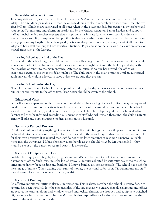#### **Supervision of School Grounds**

Teaching staff are requested to be in their classrooms at 8.55am so that parents can leave their child in safety. The Site Manager makes sure that the outside doors are closed securely at an identified time, shortly after 9.05am. Children are supervised at all times when in the playground(s). Supervision is by teachers and support staff at morning and afternoon breaks and by the Midday assistants, Senior Leaders and support staff at lunchtime. If a teacher requests that a pupil remains in class for any reason then it is the class teacher's responsibility to supervise that pupil. It is always advisable for staff to ensure that they are not alone with pupils for any length of time. It is good practice to always have another person present at all times to safeguard both staff and pupils from sensitive situations. Pupils must not be left alone in classroom areas, or shared areas such as the Library.

#### **Leaving School at the End of the Day**

At the end of the school day, the children leave by their Key Stage door. All of them know that, if the adult who should collect them has not arrived, they should come straight back into the building and stay with their teacher or report to the main entrance. After ten minutes, if no one has arrived, the office will telephone parents to see what the delay might be. The child stays in the main entrance until an authorised adult arrives. No child is allowed to leave unless we are sure they are safe.

#### **Leaving School during the Day**

No child is allowed out of school for an appointment during the day, unless a known adult arrives to collect him or her and reports to the office first. Prior notice should be given to the school.

#### **Educational Visits**

Staff will closely supervise pupils during educational visits. The wearing of school uniform may be requested on all school visits unless the activity is such that alternative clothing would be more suitable. The school should be contacted if any pupil is injured or the party is likely to be delayed e.g. if the coach breaks down. Parents will then be informed accordingly. A member of staff who will remain there until the child's parents arrive will take any pupil requiring medical attention to a hospital.

#### **Security of Personal Property**

Children should not bring anything of value to school. If a child brings their mobile phone to school it must be handed into the school office and collected at the end of the school day. Individual staff are responsible for their own property. It is advised that staff do not bring large amounts of cash nor expensive/valuable items into the workplace. Mobile phones, wallets, handbags etc. should never be left unattended – they should be kept on the person or secured away in lockers/safe.

#### **Security of Equipment and Cash**

Portable ICT equipment (e.g. laptops, digital cameras, iPad etc.) are not to be left unattended in an insecure classroom or office. Such items must be locked away. All monies collected by staff must be sent to the school office immediately for recording and banking. Money is banked as soon as possible. The school has a safe for the storage of money. When dealing with sums of money, the personal safety of staff is paramount and staff should never place their own personal safety at risk.

#### **Security of Building**

An effective monitored intruder alarm is in operation. This is always set when the school is empty. Security lighting has been installed. It is the responsibility of the site manager to ensure that all classrooms and offices are secure, the external doors and windows closed and locked, shutters are dropped and equipment switched off, before leaving the premises. The Site Manager is also responsible for locking the gates and setting the intruder alarm at the end of the day.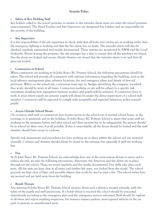#### **Safety of Key Holding Staff**

Key holders called to the school premises in answer to the intruder alarm must not enter the school premises unaccompanied. The Head Teacher and Site Supervisor are designated key holders and are responsible for the security of the building.

#### **Site Supervisor**

It is the responsibility of the site supervisor to check daily that all locks and catches are in working order, that the emergency lighting is working and that the fire alarm has no faults. The intruder alarm will also be checked, regularly maintained and results documented. These systems are monitored by AWM and the Local Authority. Before leaving the premises, the site manager has a duty to ensure that all the windows are closed, that the doors are locked and secure, blinds/shutters are closed that the intruder alarm is set and that all gates are locked.

#### **Contractors in School**

When contractors are working in St John Bosco RC Primary School, the following precautions should be taken: The school will provide all contractors with relevant information regarding the building, such as the local asbestos management plan, asbestos locations, fire and emergency plans and details of first aid provision. When on the school site, contractors must sign in. Badges identifying the company, for which they work, should be worn at all times. Contractors working on site will be subject to a specific risk assessment detailing how segregation between workers and pupils will be achieved. If contractors have to work in areas where pupils are present, pupils will always be under the direct supervision of a school staff member. Contractors will be expected to comply with acceptable and expected behaviour policy towards pupils.

#### **Access Outside School Hours**

On occasion, staff and/or contractors may require access to the school out of normal school hours, in the evenings or at weekends and in the holidays. St John Bosco RC Primary School is aware that some staff are working on the premises before and after school and their security has to be safeguarded. No person should be in school on their own, if at all possible. If this is unavoidable, all the doors should be locked and the staff member should have access to a phone.

Specific risk assessments and procedures for lone working are in place within the school and are reviewed annually. Curtains and shutters should always be closed in the evening, but especially if staff are working late.

#### **Fire**

At St John Bosco RC Primary School, we acknowledge that one of the most serious threats is arson and to reduce the risk, we take the following precautions: Automatic fire detection and fire alarm are in place throughout the school. These are tested regularly and the results documented. Fire drills take place each term. All fire exits are kept clear at all times and neither left open, nor locked from the inside. The school grounds are kept clear of litter and movable objects that could be used to start a fire. The school refuse bins are secured and are held away from the building.

#### **Bomb Threats**

Any warning St John Bosco RC Primary School receives about such a threat is treated seriously, with the safety of the pupils and staff paramount. If a bomb threat is received the school should be evacuated immediately according to the emergency plan and the emergency services informed. Staff should be vigilant at all times and report anything suspicious, for instance suspect packets, unrecognised vehicles in the car park or persons in unauthorised areas.